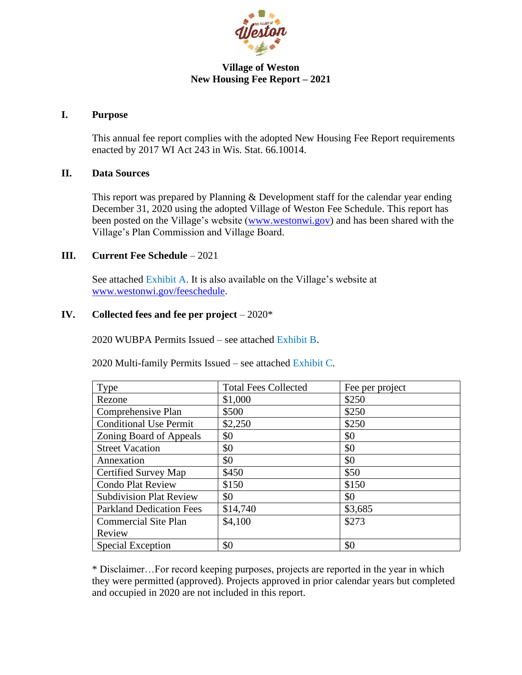

#### **Village of Weston New Housing Fee Report – 2021**

#### **I. Purpose**

This annual fee report complies with the adopted New Housing Fee Report requirements enacted by 2017 WI Act 243 in Wis. Stat. 66.10014.

#### **II. Data Sources**

This report was prepared by Planning & Development staff for the calendar year ending December 31, 2020 using the adopted Village of Weston Fee Schedule. This report has been posted on the Village's website [\(www.westonwi.gov\)](http://www.westonwi.gov/) and has been shared with the Village's Plan Commission and Village Board.

#### **III. Current Fee Schedule** – 2021

See attached Exhibit A. It is also available on the Village's website at [www.westonwi.gov/feeschedule.](http://www.westonwi.gov/feeschedule)

#### **IV. Collected fees and fee per project** – 2020\*

2020 WUBPA Permits Issued – see attached Exhibit B.

2020 Multi-family Permits Issued – see attached Exhibit C.

| Type                            | <b>Total Fees Collected</b> | Fee per project |
|---------------------------------|-----------------------------|-----------------|
| Rezone                          | \$1,000                     | \$250           |
| Comprehensive Plan              | \$500                       | \$250           |
| <b>Conditional Use Permit</b>   | \$2,250                     | \$250           |
| Zoning Board of Appeals         | \$0                         | \$0             |
| <b>Street Vacation</b>          | \$0                         | \$0             |
| Annexation                      | \$0                         | \$0             |
| Certified Survey Map            | \$450                       | \$50            |
| <b>Condo Plat Review</b>        | \$150                       | \$150           |
| <b>Subdivision Plat Review</b>  | \$0                         | \$0             |
| <b>Parkland Dedication Fees</b> | \$14,740                    | \$3,685         |
| <b>Commercial Site Plan</b>     | \$4,100                     | \$273           |
| Review                          |                             |                 |
| Special Exception               | \$0                         | \$0             |

\* Disclaimer…For record keeping purposes, projects are reported in the year in which they were permitted (approved). Projects approved in prior calendar years but completed and occupied in 2020 are not included in this report.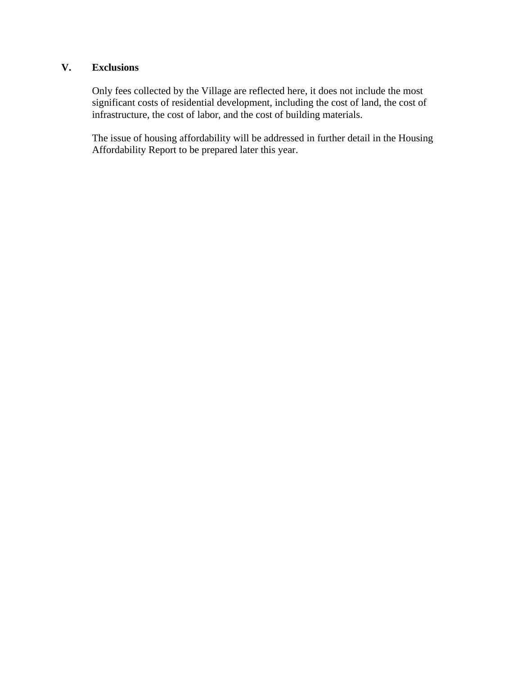### **V. Exclusions**

Only fees collected by the Village are reflected here, it does not include the most significant costs of residential development, including the cost of land, the cost of infrastructure, the cost of labor, and the cost of building materials.

The issue of housing affordability will be addressed in further detail in the Housing Affordability Report to be prepared later this year.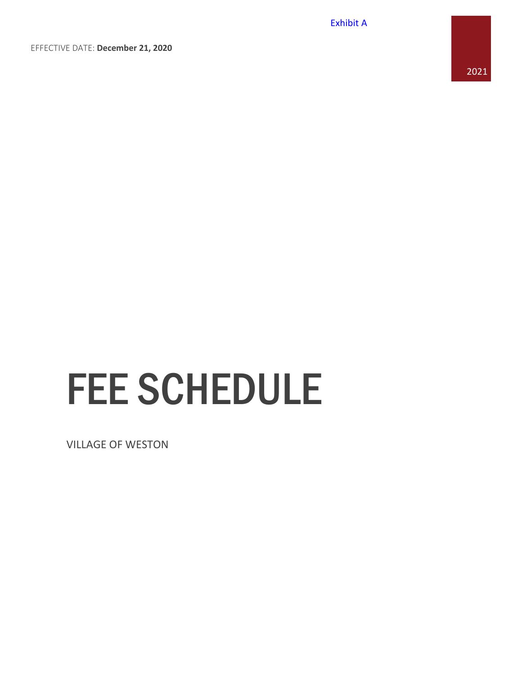Exhibit A

EFFECTIVE DATE: **December 21, 2020**

# FEE SCHEDULE

VILLAGE OF WESTON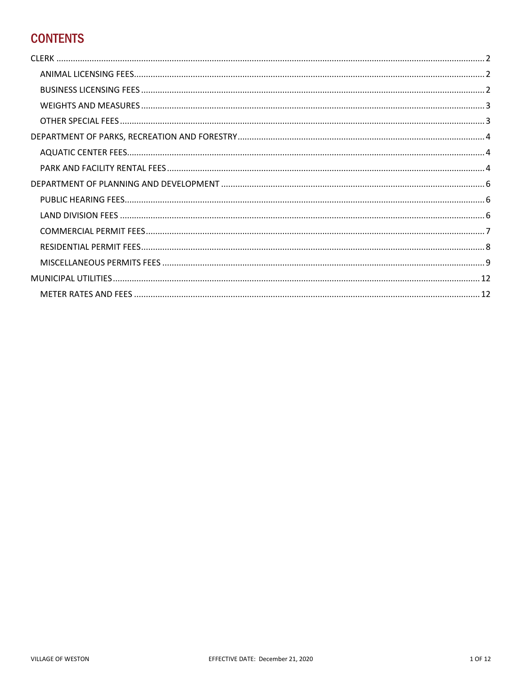# **CONTENTS**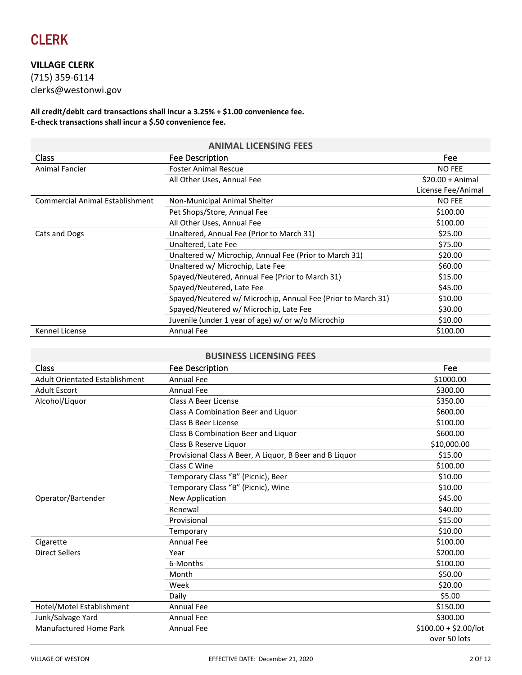<span id="page-4-0"></span>

#### **VILLAGE CLERK**

(715) 359-6114 clerks@westonwi.gov

**All credit/debit card transactions shall incur a 3.25% + \$1.00 convenience fee. E-check transactions shall incur a \$.50 convenience fee.** 

<span id="page-4-1"></span>

| <b>ANIMAL LICENSING FEES</b>           |                                                              |                    |
|----------------------------------------|--------------------------------------------------------------|--------------------|
| Class                                  | Fee Description                                              | Fee                |
| Animal Fancier                         | <b>Foster Animal Rescue</b>                                  | <b>NO FEE</b>      |
|                                        | All Other Uses, Annual Fee                                   | $$20.00 + Animal$  |
|                                        |                                                              | License Fee/Animal |
| <b>Commercial Animal Establishment</b> | Non-Municipal Animal Shelter                                 | <b>NO FEE</b>      |
|                                        | Pet Shops/Store, Annual Fee                                  | \$100.00           |
|                                        | All Other Uses, Annual Fee                                   | \$100.00           |
| Cats and Dogs                          | Unaltered, Annual Fee (Prior to March 31)                    | \$25.00            |
|                                        | Unaltered, Late Fee                                          | \$75.00            |
|                                        | Unaltered w/ Microchip, Annual Fee (Prior to March 31)       | \$20.00            |
|                                        | Unaltered w/ Microchip, Late Fee                             | \$60.00            |
|                                        | Spayed/Neutered, Annual Fee (Prior to March 31)              | \$15.00            |
|                                        | Spayed/Neutered, Late Fee                                    | \$45.00            |
|                                        | Spayed/Neutered w/ Microchip, Annual Fee (Prior to March 31) | \$10.00            |
|                                        | Spayed/Neutered w/ Microchip, Late Fee                       | \$30.00            |
|                                        | Juvenile (under 1 year of age) w/ or w/o Microchip           | \$10.00            |
| Kennel License                         | <b>Annual Fee</b>                                            | \$100.00           |

#### **BUSINESS LICENSING FEES**

<span id="page-4-2"></span>

| Class                                 | Fee Description                                         | Fee                    |
|---------------------------------------|---------------------------------------------------------|------------------------|
| <b>Adult Orientated Establishment</b> | <b>Annual Fee</b>                                       | \$1000.00              |
| <b>Adult Escort</b>                   | <b>Annual Fee</b>                                       | \$300.00               |
| Alcohol/Liquor                        | Class A Beer License                                    | \$350.00               |
|                                       | Class A Combination Beer and Liquor                     | \$600.00               |
|                                       | Class B Beer License                                    | \$100.00               |
|                                       | Class B Combination Beer and Liquor                     | \$600.00               |
|                                       | Class B Reserve Liguor                                  | \$10,000.00            |
|                                       | Provisional Class A Beer, A Liquor, B Beer and B Liquor | \$15.00                |
|                                       | Class C Wine                                            | \$100.00               |
|                                       | Temporary Class "B" (Picnic), Beer                      | \$10.00                |
|                                       | Temporary Class "B" (Picnic), Wine                      | \$10.00                |
| Operator/Bartender                    | New Application                                         | \$45.00                |
|                                       | Renewal                                                 | \$40.00                |
|                                       | Provisional                                             | \$15.00                |
|                                       | Temporary                                               | \$10.00                |
| Cigarette                             | <b>Annual Fee</b>                                       | \$100.00               |
| <b>Direct Sellers</b>                 | Year                                                    | \$200.00               |
|                                       | 6-Months                                                | \$100.00               |
|                                       | Month                                                   | \$50.00                |
|                                       | Week                                                    | \$20.00                |
|                                       | Daily                                                   | \$5.00                 |
| Hotel/Motel Establishment             | <b>Annual Fee</b>                                       | \$150.00               |
| Junk/Salvage Yard                     | <b>Annual Fee</b>                                       | \$300.00               |
| <b>Manufactured Home Park</b>         | <b>Annual Fee</b>                                       | $$100.00 + $2.00/$ lot |
|                                       |                                                         | over 50 lots           |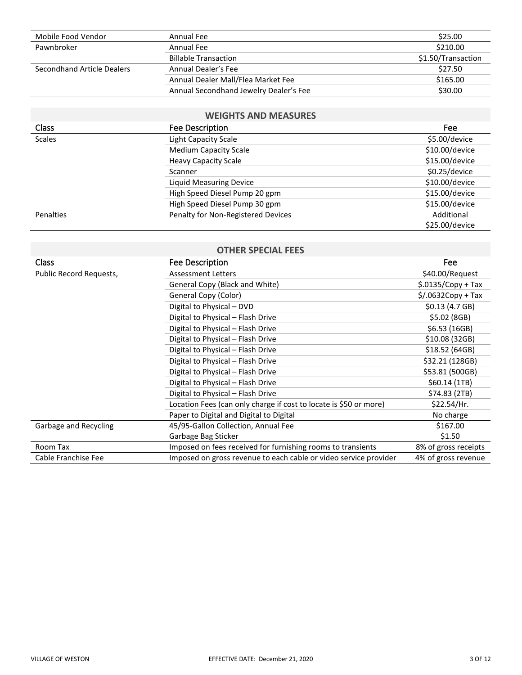| Mobile Food Vendor         | Annual Fee                             | \$25.00            |
|----------------------------|----------------------------------------|--------------------|
| Pawnbroker                 | Annual Fee                             | \$210.00           |
|                            | <b>Billable Transaction</b>            | \$1.50/Transaction |
| Secondhand Article Dealers | Annual Dealer's Fee                    | \$27.50            |
|                            | Annual Dealer Mall/Flea Market Fee     | \$165.00           |
|                            | Annual Secondhand Jewelry Dealer's Fee | \$30.00            |

#### **WEIGHTS AND MEASURES**

<span id="page-5-0"></span>

| <b>Class</b>  | <b>Fee Description</b>             | Fee            |
|---------------|------------------------------------|----------------|
| <b>Scales</b> | <b>Light Capacity Scale</b>        | \$5.00/device  |
|               | <b>Medium Capacity Scale</b>       | \$10.00/device |
|               | <b>Heavy Capacity Scale</b>        | \$15.00/device |
|               | Scanner                            | \$0.25/device  |
|               | Liquid Measuring Device            | \$10.00/device |
|               | High Speed Diesel Pump 20 gpm      | \$15.00/device |
|               | High Speed Diesel Pump 30 gpm      | \$15.00/device |
| Penalties     | Penalty for Non-Registered Devices | Additional     |
|               |                                    | \$25.00/device |

<span id="page-5-1"></span>

| <b>OTHER SPECIAL FEES</b> |                                                                   |                                |  |
|---------------------------|-------------------------------------------------------------------|--------------------------------|--|
| Class                     | Fee Description                                                   | Fee                            |  |
| Public Record Requests,   | <b>Assessment Letters</b>                                         | \$40.00/Request                |  |
|                           | General Copy (Black and White)                                    | $$.0135/Copy + Tax$            |  |
|                           | General Copy (Color)                                              | $\frac{1}{2}$ /.0632Copy + Tax |  |
|                           | Digital to Physical - DVD                                         | \$0.13(4.7GB)                  |  |
|                           | Digital to Physical - Flash Drive                                 | \$5.02 (8GB)                   |  |
|                           | Digital to Physical - Flash Drive                                 | \$6.53 (16GB)                  |  |
|                           | Digital to Physical - Flash Drive                                 | \$10.08 (32GB)                 |  |
|                           | Digital to Physical - Flash Drive                                 | \$18.52 (64GB)                 |  |
|                           | Digital to Physical - Flash Drive                                 | \$32.21 (128GB)                |  |
|                           | Digital to Physical - Flash Drive                                 | \$53.81 (500GB)                |  |
|                           | Digital to Physical - Flash Drive                                 | \$60.14(1TB)                   |  |
|                           | Digital to Physical - Flash Drive                                 | \$74.83 (2TB)                  |  |
|                           | Location Fees (can only charge if cost to locate is \$50 or more) | \$22.54/Hr.                    |  |
|                           | Paper to Digital and Digital to Digital                           | No charge                      |  |
| Garbage and Recycling     | 45/95-Gallon Collection, Annual Fee                               | \$167.00                       |  |
|                           | Garbage Bag Sticker                                               | \$1.50                         |  |
| Room Tax                  | Imposed on fees received for furnishing rooms to transients       | 8% of gross receipts           |  |
| Cable Franchise Fee       | Imposed on gross revenue to each cable or video service provider  | 4% of gross revenue            |  |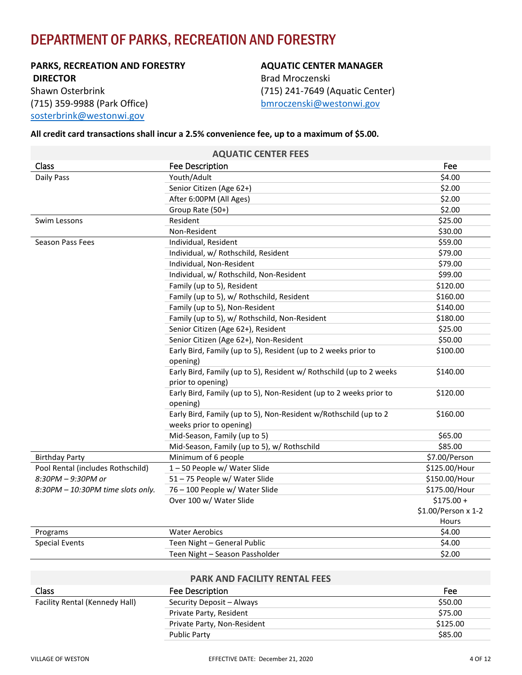# <span id="page-6-0"></span>DEPARTMENT OF PARKS, RECREATION AND FORESTRY

**PARKS, RECREATION AND FORESTRY DIRECTOR** Shawn Osterbrink (715) 359-9988 (Park Office) [sosterbrink@westonwi.gov](mailto:sosterbrink@westonwi.gov)

#### **AQUATIC CENTER MANAGER**

Brad Mroczenski (715) 241-7649 (Aquatic Center) [bmroczenski@westonwi.gov](mailto:jwehner@westonwi.gov)

#### **All credit card transactions shall incur a 2.5% convenience fee, up to a maximum of \$5.00.**

<span id="page-6-1"></span>

|                                   | <b>AQUATIC CENTER FEES</b>                                          |                     |
|-----------------------------------|---------------------------------------------------------------------|---------------------|
| Class                             | <b>Fee Description</b>                                              | Fee                 |
| Daily Pass                        | Youth/Adult                                                         | \$4.00              |
|                                   | Senior Citizen (Age 62+)                                            | \$2.00              |
|                                   | After 6:00PM (All Ages)                                             | \$2.00              |
|                                   | Group Rate (50+)                                                    | \$2.00              |
| Swim Lessons                      | Resident                                                            | \$25.00             |
|                                   | Non-Resident                                                        | \$30.00             |
| Season Pass Fees                  | Individual, Resident                                                | \$59.00             |
|                                   | Individual, w/ Rothschild, Resident                                 | \$79.00             |
|                                   | Individual, Non-Resident                                            | \$79.00             |
|                                   | Individual, w/ Rothschild, Non-Resident                             | \$99.00             |
|                                   | Family (up to 5), Resident                                          | \$120.00            |
|                                   | Family (up to 5), w/ Rothschild, Resident                           | \$160.00            |
|                                   | Family (up to 5), Non-Resident                                      | \$140.00            |
|                                   | Family (up to 5), w/ Rothschild, Non-Resident                       | \$180.00            |
|                                   | Senior Citizen (Age 62+), Resident                                  | \$25.00             |
|                                   | Senior Citizen (Age 62+), Non-Resident                              | \$50.00             |
|                                   | Early Bird, Family (up to 5), Resident (up to 2 weeks prior to      | \$100.00            |
|                                   | opening)                                                            |                     |
|                                   | Early Bird, Family (up to 5), Resident w/ Rothschild (up to 2 weeks | \$140.00            |
|                                   | prior to opening)                                                   |                     |
|                                   | Early Bird, Family (up to 5), Non-Resident (up to 2 weeks prior to  | \$120.00            |
|                                   | opening)                                                            |                     |
|                                   | Early Bird, Family (up to 5), Non-Resident w/Rothschild (up to 2    | \$160.00            |
|                                   | weeks prior to opening)                                             |                     |
|                                   | Mid-Season, Family (up to 5)                                        | \$65.00             |
|                                   | Mid-Season, Family (up to 5), w/ Rothschild                         | \$85.00             |
| <b>Birthday Party</b>             | Minimum of 6 people                                                 | \$7.00/Person       |
| Pool Rental (includes Rothschild) | 1-50 People w/ Water Slide                                          | \$125.00/Hour       |
| 8:30PM - 9:30PM or                | 51 - 75 People w/ Water Slide                                       | \$150.00/Hour       |
| 8:30PM - 10:30PM time slots only. | 76 - 100 People w/ Water Slide                                      | \$175.00/Hour       |
|                                   | Over 100 w/ Water Slide                                             | $$175.00 +$         |
|                                   |                                                                     | \$1.00/Person x 1-2 |
|                                   |                                                                     | Hours               |
| Programs                          | <b>Water Aerobics</b>                                               | \$4.00              |
| <b>Special Events</b>             | Teen Night - General Public                                         | \$4.00              |
|                                   | Teen Night - Season Passholder                                      | \$2.00              |

**AQUATIC CENTER FEES**

#### **PARK AND FACILITY RENTAL FEES**

<span id="page-6-2"></span>

| Class                          | Fee Description             | Fee      |
|--------------------------------|-----------------------------|----------|
| Facility Rental (Kennedy Hall) | Security Deposit – Always   | \$50.00  |
|                                | Private Party, Resident     | \$75.00  |
|                                | Private Party, Non-Resident | \$125.00 |
|                                | <b>Public Party</b>         | \$85.00  |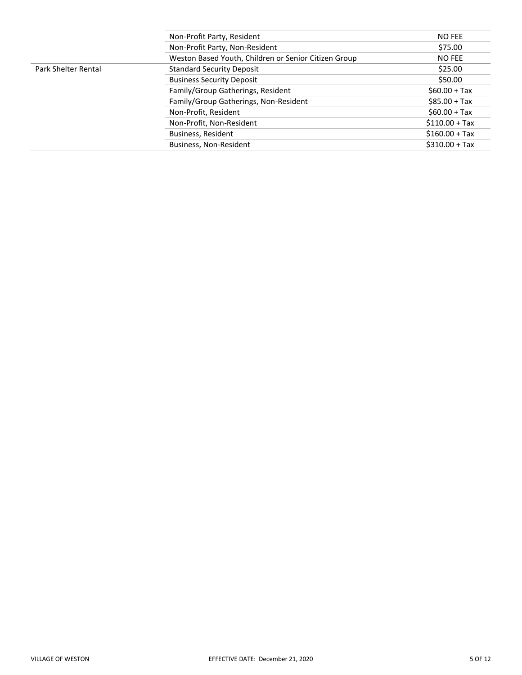|                            | Non-Profit Party, Resident                           | <b>NO FEE</b>   |
|----------------------------|------------------------------------------------------|-----------------|
|                            | Non-Profit Party, Non-Resident                       | \$75.00         |
|                            | Weston Based Youth, Children or Senior Citizen Group | NO FEE          |
| <b>Park Shelter Rental</b> | <b>Standard Security Deposit</b>                     | \$25.00         |
|                            | <b>Business Security Deposit</b>                     | \$50.00         |
|                            | Family/Group Gatherings, Resident                    | $$60.00 + Tax$  |
|                            | Family/Group Gatherings, Non-Resident                | $$85.00 + Tax$  |
|                            | Non-Profit, Resident                                 | $$60.00 + Tax$  |
|                            | Non-Profit, Non-Resident                             | $$110.00 + Tax$ |
|                            | Business, Resident                                   | $$160.00 + Tax$ |
|                            | Business, Non-Resident                               | $$310.00 + Tax$ |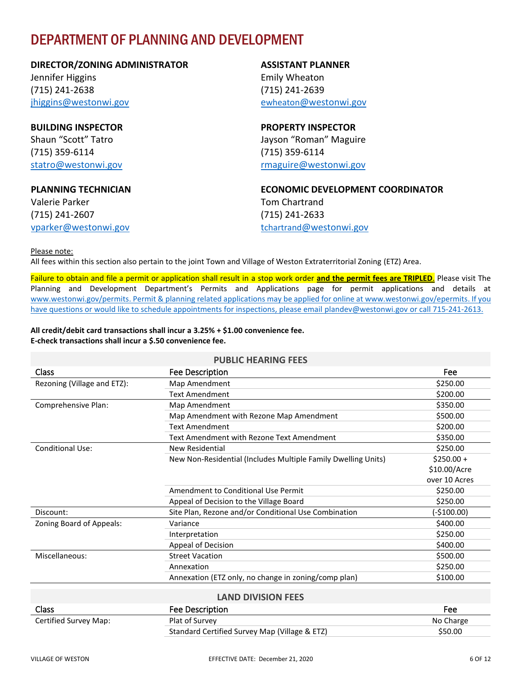# <span id="page-8-0"></span>DEPARTMENT OF PLANNING AND DEVELOPMENT

#### **DIRECTOR/ZONING ADMINISTRATOR**

Jennifer Higgins (715) 241-2638 [jhiggins@westonwi.gov](mailto:jhiggins@westonwi.gov)

**BUILDING INSPECTOR** Shaun "Scott" Tatro (715) 359-6114 [statro@westonwi.gov](mailto:statro@westonwi.gov)

#### **PLANNING TECHNICIAN**

Valerie Parker (715) 241-2607 [vparker@westonwi.gov](mailto:vparker@westonwi.gov)

#### **ASSISTANT PLANNER** Emily Wheaton (715) 241-2639 ewheaton[@westonwi.gov](mailto:jwehner@westonwi.gov)

**PROPERTY INSPECTOR** Jayson "Roman" Maguire (715) 359-6114 [rmaguire@westonwi.gov](mailto:rmaguire@westonwi.gov)

**ECONOMIC DEVELOPMENT COORDINATOR** Tom Chartrand (715) 241-2633 tchartrand[@westonwi.gov](mailto:tchartrand@westonwi.gov)

Please note:

All fees within this section also pertain to the joint Town and Village of Weston Extraterritorial Zoning (ETZ) Area.

Failure to obtain and file a permit or application shall result in a stop work order **and the permit fees are TRIPLED**. Please visit The Planning and Development Department's Permits and Applications page for permit applications and details at [www.westonwi.gov/permits.](http://www.westonwi.gov/permits) Permit & planning related applications may be applied for online a[t www.westonwi.gov/epermits.](http://www.westonwi.gov/epermits) If you have questions or would like to schedule appointments for inspections, please email [plandev@westonwi.gov](mailto:plandev@westonwi.gov) or call 715-241-2613.

**All credit/debit card transactions shall incur a 3.25% + \$1.00 convenience fee. E-check transactions shall incur a \$.50 convenience fee.** 

#### <span id="page-8-1"></span>**PUBLIC HEARING FEES** Class Fee Description Fee Rezoning (Village and ETZ): Map Amendment **Amendment** \$250.00 Text Amendment \$200.00 Comprehensive Plan: Map Amendment \$350.00 Map Amendment with Rezone Map Amendment **\$500.00** Text Amendment \$200.00 Text Amendment with Rezone Text Amendment **\$350.00** Conditional Use: New Residential \$250.00 New Non-Residential (Includes Multiple Family Dwelling Units) \$250.00 + \$10.00/Acre over 10 Acres Amendment to Conditional Use Permit  $\sim$  \$250.00 Appeal of Decision to the Village Board **\$250.00** \$250.00 Discount: Site Plan, Rezone and/or Conditional Use Combination (-\$100.00) zoning Board of Appeals:  $Variance$  and  $Variance$  and  $S400.00$ Interpretation \$250.00 Appeal of Decision  $$400.00$ Miscellaneous: Street Vacation \$500.00 Annexation \$250.00 Annexation (ETZ only, no change in zoning/comp plan) \$100.00 **LAND DIVISION FEES**

<span id="page-8-2"></span>

| <b>Class</b>          | Fee Description                               | Fee       |
|-----------------------|-----------------------------------------------|-----------|
| Certified Survey Map: | Plat of Survey                                | No Charge |
|                       | Standard Certified Survey Map (Village & ETZ) | \$50.00   |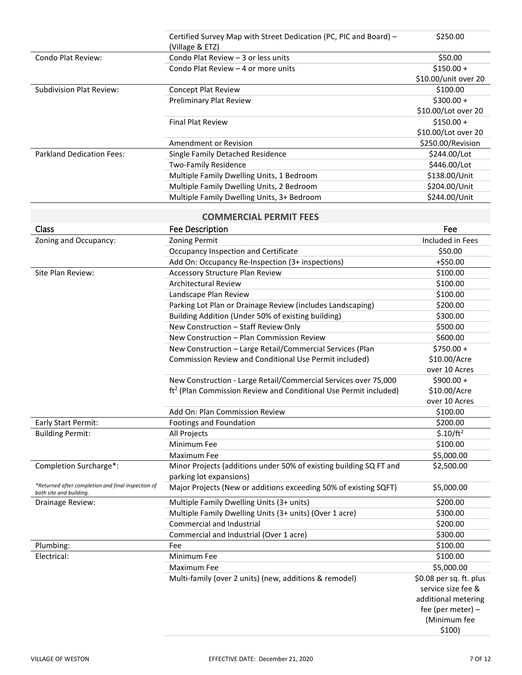<span id="page-9-0"></span>

|                                                                               | Certified Survey Map with Street Dedication (PC, PIC and Board) -            | \$250.00                |
|-------------------------------------------------------------------------------|------------------------------------------------------------------------------|-------------------------|
|                                                                               | (Village & ETZ)                                                              |                         |
| Condo Plat Review:                                                            | Condo Plat Review - 3 or less units                                          | \$50.00                 |
|                                                                               | Condo Plat Review - 4 or more units                                          | $$150.00 +$             |
|                                                                               |                                                                              | \$10.00/unit over 20    |
| <b>Subdivision Plat Review:</b>                                               | Concept Plat Review                                                          | \$100.00                |
|                                                                               | Preliminary Plat Review                                                      | $$300.00 +$             |
|                                                                               |                                                                              | \$10.00/Lot over 20     |
|                                                                               | <b>Final Plat Review</b>                                                     | $$150.00 +$             |
|                                                                               |                                                                              | \$10.00/Lot over 20     |
|                                                                               | Amendment or Revision                                                        | \$250.00/Revision       |
| <b>Parkland Dedication Fees:</b>                                              | Single Family Detached Residence                                             | \$244.00/Lot            |
|                                                                               | <b>Two-Family Residence</b>                                                  | \$446.00/Lot            |
|                                                                               | Multiple Family Dwelling Units, 1 Bedroom                                    | \$138.00/Unit           |
|                                                                               | Multiple Family Dwelling Units, 2 Bedroom                                    | \$204.00/Unit           |
|                                                                               | Multiple Family Dwelling Units, 3+ Bedroom                                   | \$244.00/Unit           |
|                                                                               | <b>COMMERCIAL PERMIT FEES</b>                                                |                         |
| Class                                                                         | Fee Description                                                              | Fee                     |
| Zoning and Occupancy:                                                         | <b>Zoning Permit</b>                                                         | Included in Fees        |
|                                                                               | Occupancy Inspection and Certificate                                         | \$50.00                 |
|                                                                               | Add On: Occupancy Re-Inspection (3+ inspections)                             | $+ $50.00$              |
| Site Plan Review:                                                             | <b>Accessory Structure Plan Review</b>                                       | \$100.00                |
|                                                                               | <b>Architectural Review</b>                                                  | \$100.00                |
|                                                                               | Landscape Plan Review                                                        | \$100.00                |
|                                                                               | Parking Lot Plan or Drainage Review (includes Landscaping)                   | \$200.00                |
|                                                                               | Building Addition (Under 50% of existing building)                           | \$300.00                |
|                                                                               | New Construction - Staff Review Only                                         | \$500.00                |
|                                                                               | New Construction - Plan Commission Review                                    | \$600.00                |
|                                                                               | New Construction - Large Retail/Commercial Services (Plan                    | $$750.00 +$             |
|                                                                               | Commission Review and Conditional Use Permit included)                       | \$10.00/Acre            |
|                                                                               |                                                                              | over 10 Acres           |
|                                                                               | New Construction - Large Retail/Commercial Services over 75,000              | $$900.00 +$             |
|                                                                               | ft <sup>2</sup> (Plan Commission Review and Conditional Use Permit included) | \$10.00/Acre            |
|                                                                               |                                                                              | over 10 Acres           |
|                                                                               | Add On: Plan Commission Review                                               | \$100.00                |
| Early Start Permit:                                                           | Footings and Foundation                                                      | \$200.00                |
| <b>Building Permit:</b>                                                       | All Projects                                                                 | \$.10/ft <sup>2</sup>   |
|                                                                               | Minimum Fee                                                                  | \$100.00                |
|                                                                               | Maximum Fee                                                                  | \$5,000.00              |
| Completion Surcharge*:                                                        | Minor Projects (additions under 50% of existing building SQ FT and           | \$2,500.00              |
|                                                                               | parking lot expansions)                                                      |                         |
| *Returned after completion and final inspection of<br>both site and building. | Major Projects (New or additions exceeding 50% of existing SQFT)             | \$5,000.00              |
| Drainage Review:                                                              | Multiple Family Dwelling Units (3+ units)                                    | \$200.00                |
|                                                                               | Multiple Family Dwelling Units (3+ units) (Over 1 acre)                      | \$300.00                |
|                                                                               | <b>Commercial and Industrial</b>                                             | \$200.00                |
|                                                                               | Commercial and Industrial (Over 1 acre)                                      | \$300.00                |
| Plumbing:                                                                     | Fee                                                                          | \$100.00                |
| Electrical:                                                                   | Minimum Fee                                                                  | \$100.00                |
|                                                                               | Maximum Fee                                                                  | \$5,000.00              |
|                                                                               | Multi-family (over 2 units) (new, additions & remodel)                       | \$0.08 per sq. ft. plus |
|                                                                               |                                                                              | service size fee &      |
|                                                                               |                                                                              | additional metering     |
|                                                                               |                                                                              | fee (per meter) -       |
|                                                                               |                                                                              | (Minimum fee            |
|                                                                               |                                                                              | \$100)                  |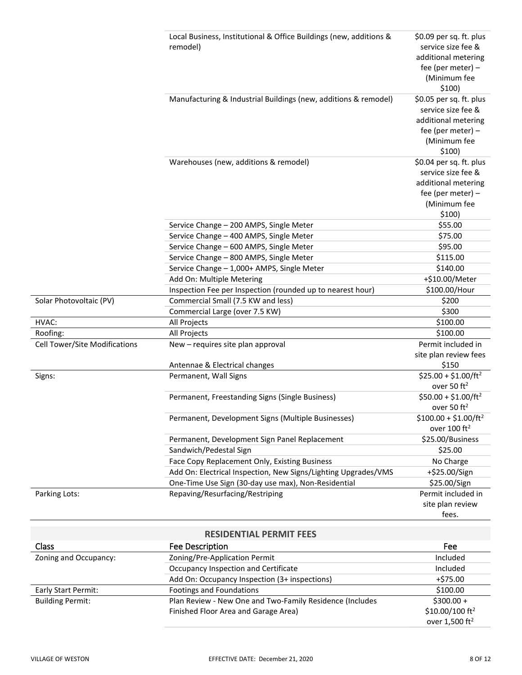|                               | Local Business, Institutional & Office Buildings (new, additions & | \$0.09 per sq. ft. plus                          |
|-------------------------------|--------------------------------------------------------------------|--------------------------------------------------|
|                               | remodel)                                                           | service size fee &                               |
|                               |                                                                    | additional metering                              |
|                               |                                                                    | fee (per meter) -                                |
|                               |                                                                    | (Minimum fee                                     |
|                               |                                                                    | \$100)                                           |
|                               | Manufacturing & Industrial Buildings (new, additions & remodel)    | \$0.05 per sq. ft. plus                          |
|                               |                                                                    | service size fee &                               |
|                               |                                                                    | additional metering                              |
|                               |                                                                    | fee (per meter) $-$<br>(Minimum fee              |
|                               |                                                                    | \$100)                                           |
|                               | Warehouses (new, additions & remodel)                              | \$0.04 per sq. ft. plus                          |
|                               |                                                                    | service size fee &                               |
|                               |                                                                    | additional metering                              |
|                               |                                                                    | fee (per meter) -                                |
|                               |                                                                    | (Minimum fee                                     |
|                               |                                                                    | \$100)                                           |
|                               | Service Change - 200 AMPS, Single Meter                            | \$55.00                                          |
|                               | Service Change - 400 AMPS, Single Meter                            | \$75.00                                          |
|                               | Service Change - 600 AMPS, Single Meter                            | \$95.00                                          |
|                               | Service Change - 800 AMPS, Single Meter                            | \$115.00                                         |
|                               | Service Change - 1,000+ AMPS, Single Meter                         | \$140.00                                         |
|                               | Add On: Multiple Metering                                          | +\$10.00/Meter                                   |
|                               | Inspection Fee per Inspection (rounded up to nearest hour)         | \$100.00/Hour                                    |
| Solar Photovoltaic (PV)       | Commercial Small (7.5 KW and less)                                 | \$200                                            |
|                               | Commercial Large (over 7.5 KW)                                     | \$300                                            |
| HVAC:                         | All Projects                                                       | \$100.00                                         |
| Roofing:                      | All Projects                                                       | \$100.00                                         |
| Cell Tower/Site Modifications | New - requires site plan approval                                  | Permit included in                               |
|                               |                                                                    | site plan review fees                            |
|                               | Antennae & Electrical changes                                      | \$150                                            |
| Signs:                        | Permanent, Wall Signs                                              | $$25.00 + $1.00/ft^2$<br>over 50 ft <sup>2</sup> |
|                               | Permanent, Freestanding Signs (Single Business)                    | $$50.00 + $1.00/ft^2$                            |
|                               |                                                                    | over 50 $ft2$                                    |
|                               | Permanent, Development Signs (Multiple Businesses)                 | $$100.00 + $1.00/ft^2$                           |
|                               |                                                                    | over 100 ft <sup>2</sup>                         |
|                               | Permanent, Development Sign Panel Replacement                      | \$25.00/Business                                 |
|                               | Sandwich/Pedestal Sign                                             | \$25.00                                          |
|                               | Face Copy Replacement Only, Existing Business                      | No Charge                                        |
|                               | Add On: Electrical Inspection, New Signs/Lighting Upgrades/VMS     | +\$25.00/Sign                                    |
|                               | One-Time Use Sign (30-day use max), Non-Residential                | \$25.00/Sign                                     |
| Parking Lots:                 | Repaving/Resurfacing/Restriping                                    | Permit included in                               |
|                               |                                                                    | site plan review                                 |
|                               |                                                                    | fees.                                            |
|                               | <b>DECIDENTIAL DEDMIT EEEC</b>                                     |                                                  |

<span id="page-10-0"></span>

| <b>RESIDENTIAL PERMIT FEES</b> |                                                          |                             |  |  |  |  |  |
|--------------------------------|----------------------------------------------------------|-----------------------------|--|--|--|--|--|
| <b>Class</b>                   | Fee Description                                          | Fee                         |  |  |  |  |  |
| Zoning and Occupancy:          | Zoning/Pre-Application Permit                            | Included                    |  |  |  |  |  |
|                                | Occupancy Inspection and Certificate                     | Included                    |  |  |  |  |  |
|                                | Add On: Occupancy Inspection (3+ inspections)            | $+ $75.00$                  |  |  |  |  |  |
| Early Start Permit:            | Footings and Foundations                                 | \$100.00                    |  |  |  |  |  |
| <b>Building Permit:</b>        | Plan Review - New One and Two-Family Residence (Includes | $$300.00 +$                 |  |  |  |  |  |
|                                | Finished Floor Area and Garage Area)                     | \$10.00/100 ft <sup>2</sup> |  |  |  |  |  |
|                                |                                                          | over 1,500 ft <sup>2</sup>  |  |  |  |  |  |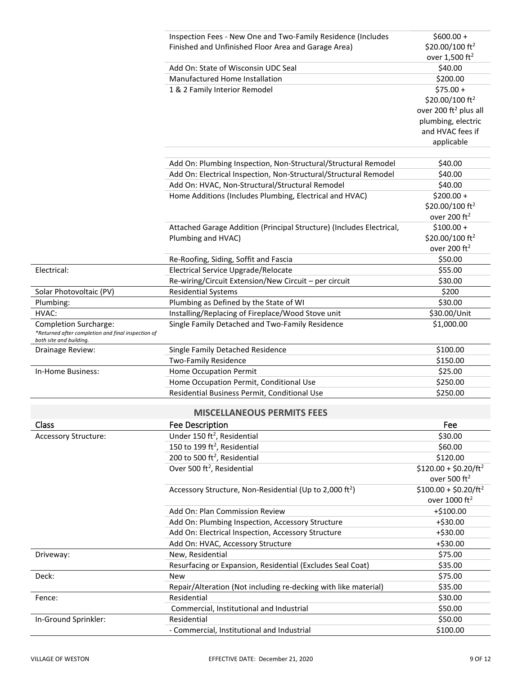<span id="page-11-0"></span>

|                                                                               | Inspection Fees - New One and Two-Family Residence (Includes         | $$600.00 +$                       |
|-------------------------------------------------------------------------------|----------------------------------------------------------------------|-----------------------------------|
|                                                                               | Finished and Unfinished Floor Area and Garage Area)                  | \$20.00/100 ft <sup>2</sup>       |
|                                                                               |                                                                      | over 1,500 ft <sup>2</sup>        |
|                                                                               | Add On: State of Wisconsin UDC Seal                                  | \$40.00                           |
|                                                                               | Manufactured Home Installation                                       | \$200.00                          |
|                                                                               | 1 & 2 Family Interior Remodel                                        | $$75.00 +$                        |
|                                                                               |                                                                      | \$20.00/100 ft <sup>2</sup>       |
|                                                                               |                                                                      | over 200 ft <sup>2</sup> plus all |
|                                                                               |                                                                      | plumbing, electric                |
|                                                                               |                                                                      | and HVAC fees if                  |
|                                                                               |                                                                      | applicable                        |
|                                                                               |                                                                      |                                   |
|                                                                               | Add On: Plumbing Inspection, Non-Structural/Structural Remodel       | \$40.00                           |
|                                                                               | Add On: Electrical Inspection, Non-Structural/Structural Remodel     | \$40.00                           |
|                                                                               | Add On: HVAC, Non-Structural/Structural Remodel                      | \$40.00                           |
|                                                                               | Home Additions (Includes Plumbing, Electrical and HVAC)              | $$200.00 +$                       |
|                                                                               |                                                                      | \$20.00/100 ft <sup>2</sup>       |
|                                                                               |                                                                      | over 200 ft <sup>2</sup>          |
|                                                                               | Attached Garage Addition (Principal Structure) (Includes Electrical, | $$100.00 +$                       |
|                                                                               | Plumbing and HVAC)                                                   | \$20.00/100 ft <sup>2</sup>       |
|                                                                               |                                                                      | over 200 ft <sup>2</sup>          |
|                                                                               | Re-Roofing, Siding, Soffit and Fascia                                | \$50.00                           |
| Electrical:                                                                   | Electrical Service Upgrade/Relocate                                  | \$55.00                           |
|                                                                               | Re-wiring/Circuit Extension/New Circuit - per circuit                | \$30.00                           |
| Solar Photovoltaic (PV)                                                       | <b>Residential Systems</b>                                           | \$200                             |
| Plumbing:                                                                     | Plumbing as Defined by the State of WI                               | \$30.00                           |
| HVAC:                                                                         | Installing/Replacing of Fireplace/Wood Stove unit                    | \$30.00/Unit                      |
| <b>Completion Surcharge:</b>                                                  | Single Family Detached and Two-Family Residence                      | \$1,000.00                        |
| *Returned after completion and final inspection of<br>both site and building. |                                                                      |                                   |
| Drainage Review:                                                              | Single Family Detached Residence                                     | \$100.00                          |
|                                                                               | <b>Two-Family Residence</b>                                          | \$150.00                          |
| In-Home Business:                                                             | <b>Home Occupation Permit</b>                                        | \$25.00                           |
|                                                                               | Home Occupation Permit, Conditional Use                              | \$250.00                          |
|                                                                               | Residential Business Permit, Conditional Use                         | \$250.00                          |
|                                                                               |                                                                      |                                   |
|                                                                               | <b>MISCELLANEOUS PERMITS FEES</b>                                    |                                   |
| Class                                                                         | Fee Description                                                      | Fee                               |
| <b>Accessory Structure:</b>                                                   | Under 150 ft <sup>2</sup> , Residential                              | \$30.00                           |
|                                                                               | 150 to 199 ft <sup>2</sup> , Residential                             | \$60.00                           |
|                                                                               | 200 to 500 ft <sup>2</sup> , Residential                             | \$120.00                          |
|                                                                               | Over 500 ft <sup>2</sup> , Residential                               | $$120.00 + $0.20/ft^2$$           |
|                                                                               |                                                                      | over 500 ft <sup>2</sup>          |
|                                                                               | Accessory Structure, Non-Residential (Up to 2,000 ft <sup>2</sup> )  | $$100.00 + $0.20/ft^2$$           |
|                                                                               |                                                                      | over 1000 ft <sup>2</sup>         |
|                                                                               | Add On: Plan Commission Review                                       | +\$100.00                         |
|                                                                               | Add On: Plumbing Inspection, Accessory Structure                     | $+ $30.00$                        |
|                                                                               | Add On: Electrical Inspection, Accessory Structure                   | $+ $30.00$                        |
|                                                                               | Add On: HVAC, Accessory Structure                                    | $+ $30.00$                        |
| Driveway:                                                                     | New, Residential                                                     | \$75.00                           |
|                                                                               | Resurfacing or Expansion, Residential (Excludes Seal Coat)           | \$35.00                           |
| Deck:                                                                         | <b>New</b>                                                           | \$75.00                           |
|                                                                               | Repair/Alteration (Not including re-decking with like material)      | \$35.00                           |
| Fence:                                                                        | Residential                                                          | \$30.00                           |
|                                                                               | Commercial, Institutional and Industrial                             | \$50.00                           |
| In-Ground Sprinkler:                                                          | Residential                                                          | \$50.00                           |
|                                                                               | - Commercial, Institutional and Industrial                           | \$100.00                          |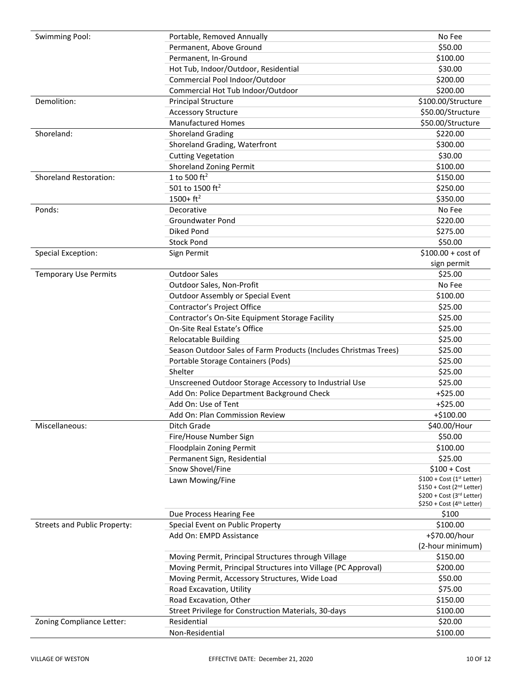| Swimming Pool:                | Portable, Removed Annually                                       | No Fee                                |
|-------------------------------|------------------------------------------------------------------|---------------------------------------|
|                               | Permanent, Above Ground                                          | \$50.00                               |
|                               | Permanent, In-Ground                                             | \$100.00                              |
|                               | Hot Tub, Indoor/Outdoor, Residential                             | \$30.00                               |
|                               | Commercial Pool Indoor/Outdoor                                   | \$200.00                              |
|                               | Commercial Hot Tub Indoor/Outdoor                                | \$200.00                              |
| Demolition:                   | <b>Principal Structure</b>                                       | \$100.00/Structure                    |
|                               | <b>Accessory Structure</b>                                       | \$50.00/Structure                     |
|                               | <b>Manufactured Homes</b>                                        | \$50.00/Structure                     |
| Shoreland:                    | Shoreland Grading                                                | \$220.00                              |
|                               | Shoreland Grading, Waterfront                                    | \$300.00                              |
|                               | <b>Cutting Vegetation</b>                                        | \$30.00                               |
|                               | <b>Shoreland Zoning Permit</b>                                   | \$100.00                              |
| <b>Shoreland Restoration:</b> | 1 to 500 $ft^2$                                                  | \$150.00                              |
|                               | 501 to 1500 ft <sup>2</sup>                                      | \$250.00                              |
|                               | $1500 + ft2$                                                     | \$350.00                              |
| Ponds:                        | Decorative                                                       | No Fee                                |
|                               | <b>Groundwater Pond</b>                                          | \$220.00                              |
|                               | Diked Pond                                                       | \$275.00                              |
|                               | <b>Stock Pond</b>                                                | \$50.00                               |
| <b>Special Exception:</b>     | Sign Permit                                                      | $$100.00 + cost of$                   |
|                               |                                                                  | sign permit                           |
| <b>Temporary Use Permits</b>  | <b>Outdoor Sales</b>                                             | \$25.00                               |
|                               | Outdoor Sales, Non-Profit                                        | No Fee                                |
|                               | Outdoor Assembly or Special Event                                | \$100.00                              |
|                               | Contractor's Project Office                                      | \$25.00                               |
|                               | Contractor's On-Site Equipment Storage Facility                  | \$25.00                               |
|                               | On-Site Real Estate's Office                                     | \$25.00                               |
|                               | Relocatable Building                                             | \$25.00                               |
|                               | Season Outdoor Sales of Farm Products (Includes Christmas Trees) | \$25.00                               |
|                               | Portable Storage Containers (Pods)                               | \$25.00                               |
|                               | Shelter                                                          | \$25.00                               |
|                               | Unscreened Outdoor Storage Accessory to Industrial Use           | \$25.00                               |
|                               | Add On: Police Department Background Check                       | $+ $25.00$                            |
|                               | Add On: Use of Tent                                              | $+ $25.00$                            |
|                               | Add On: Plan Commission Review                                   | $+ $100.00$                           |
| Miscellaneous:                | Ditch Grade                                                      | \$40.00/Hour                          |
|                               | Fire/House Number Sign                                           | \$50.00                               |
|                               | Floodplain Zoning Permit                                         | \$100.00                              |
|                               |                                                                  | \$25.00                               |
|                               | Permanent Sign, Residential<br>Snow Shovel/Fine                  | $$100 + Cost$                         |
|                               |                                                                  | $$100 + Cost (1st Letter)$            |
|                               | Lawn Mowing/Fine                                                 | \$150 + Cost (2 <sup>nd</sup> Letter) |
|                               |                                                                  | \$200 + Cost (3rd Letter)             |
|                               |                                                                  | \$250 + Cost (4 <sup>th</sup> Letter) |
|                               | Due Process Hearing Fee                                          | \$100                                 |
| Streets and Public Property:  | Special Event on Public Property                                 | \$100.00                              |
|                               | Add On: EMPD Assistance                                          | +\$70.00/hour                         |
|                               |                                                                  | (2-hour minimum)                      |
|                               | Moving Permit, Principal Structures through Village              | \$150.00                              |
|                               | Moving Permit, Principal Structures into Village (PC Approval)   | \$200.00                              |
|                               | Moving Permit, Accessory Structures, Wide Load                   | \$50.00                               |
|                               | Road Excavation, Utility                                         | \$75.00                               |
|                               | Road Excavation, Other                                           | \$150.00                              |
|                               | Street Privilege for Construction Materials, 30-days             | \$100.00                              |
| Zoning Compliance Letter:     | Residential                                                      | \$20.00                               |
|                               | Non-Residential                                                  | \$100.00                              |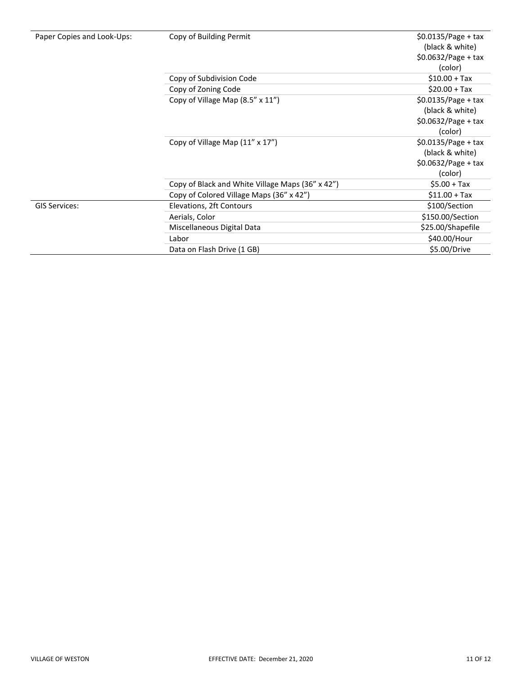| Paper Copies and Look-Ups |  |  |  |  |  |  |
|---------------------------|--|--|--|--|--|--|
|---------------------------|--|--|--|--|--|--|

| Paper Copies and Look-Ups: | Copy of Building Permit                          | $$0.0135/Page + tax$<br>(black & white)<br>$$0.0632/Page + tax$<br>(color) |  |  |
|----------------------------|--------------------------------------------------|----------------------------------------------------------------------------|--|--|
|                            | Copy of Subdivision Code                         | $$10.00 + Tax$                                                             |  |  |
|                            | Copy of Zoning Code                              | $$20.00 + Tax$                                                             |  |  |
|                            | Copy of Village Map (8.5" x 11")                 | $$0.0135/Page + tax$<br>(black & white)                                    |  |  |
|                            |                                                  | $$0.0632/Page + tax$<br>(color)                                            |  |  |
|                            | Copy of Village Map (11" x 17")                  | $$0.0135/Page + tax$<br>(black & white)<br>$$0.0632/Page + tax$<br>(color) |  |  |
|                            | Copy of Black and White Village Maps (36" x 42") | $$5.00 + Tax$                                                              |  |  |
|                            | Copy of Colored Village Maps (36" x 42")         | $$11.00 + Tax$                                                             |  |  |
| <b>GIS Services:</b>       | Elevations, 2ft Contours                         | \$100/Section                                                              |  |  |
|                            | Aerials, Color                                   | \$150.00/Section                                                           |  |  |
|                            | Miscellaneous Digital Data                       | \$25.00/Shapefile                                                          |  |  |
|                            | Labor                                            | \$40.00/Hour                                                               |  |  |
|                            | Data on Flash Drive (1 GB)                       | \$5.00/Drive                                                               |  |  |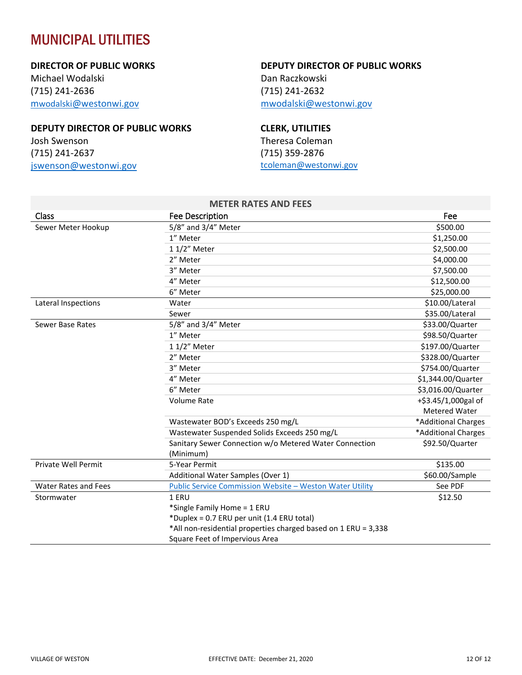# <span id="page-14-0"></span>MUNICIPAL UTILITIES

#### **DIRECTOR OF PUBLIC WORKS**

Michael Wodalski (715) 241-2636 mwodalski[@westonwi.gov](mailto:mwodalski@westonwi.gov)

#### **DEPUTY DIRECTOR OF PUBLIC WORKS**

Josh Swenson (715) 241-2637 [jswenson@westonwi.gov](mailto:jswenson@westonwi.gov)

#### **DEPUTY DIRECTOR OF PUBLIC WORKS**

Dan Raczkowski (715) 241-2632 [mwodalski@westonwi.gov](mailto:mwodalski@westonwi.gov)

#### **CLERK, UTILITIES**

Theresa Coleman (715) 359-2876 [tcoleman@westonwi.gov](mailto:tcoleman@westonwi.gov) 

<span id="page-14-1"></span>

|                             | <b>METER RATES AND FEES</b>                                    |                     |
|-----------------------------|----------------------------------------------------------------|---------------------|
| Class                       | <b>Fee Description</b>                                         | Fee                 |
| Sewer Meter Hookup          | 5/8" and 3/4" Meter                                            | \$500.00            |
|                             | 1" Meter                                                       | \$1,250.00          |
|                             | 1 1/2" Meter                                                   | \$2,500.00          |
|                             | 2" Meter                                                       | \$4,000.00          |
|                             | 3" Meter                                                       | \$7,500.00          |
|                             | 4" Meter                                                       | \$12,500.00         |
|                             | 6" Meter                                                       | \$25,000.00         |
| Lateral Inspections         | Water                                                          | \$10.00/Lateral     |
|                             | Sewer                                                          | \$35.00/Lateral     |
| Sewer Base Rates            | 5/8" and 3/4" Meter                                            | \$33.00/Quarter     |
|                             | 1" Meter                                                       | \$98.50/Quarter     |
|                             | 1 1/2" Meter                                                   | \$197.00/Quarter    |
|                             | 2" Meter                                                       | \$328.00/Quarter    |
|                             | 3" Meter                                                       | \$754.00/Quarter    |
|                             | 4" Meter                                                       | \$1,344.00/Quarter  |
|                             | 6" Meter                                                       | \$3,016.00/Quarter  |
|                             | Volume Rate                                                    | +\$3.45/1,000gal of |
|                             |                                                                | Metered Water       |
|                             | Wastewater BOD's Exceeds 250 mg/L                              | *Additional Charges |
|                             | Wastewater Suspended Solids Exceeds 250 mg/L                   | *Additional Charges |
|                             | Sanitary Sewer Connection w/o Metered Water Connection         | \$92.50/Quarter     |
|                             | (Minimum)                                                      |                     |
| <b>Private Well Permit</b>  | 5-Year Permit                                                  | \$135.00            |
|                             | Additional Water Samples (Over 1)                              | \$60.00/Sample      |
| <b>Water Rates and Fees</b> | Public Service Commission Website - Weston Water Utility       | See PDF             |
| Stormwater                  | 1 ERU                                                          | \$12.50             |
|                             | *Single Family Home = 1 ERU                                    |                     |
|                             | *Duplex = 0.7 ERU per unit (1.4 ERU total)                     |                     |
|                             | *All non-residential properties charged based on 1 ERU = 3,338 |                     |
|                             | Square Feet of Impervious Area                                 |                     |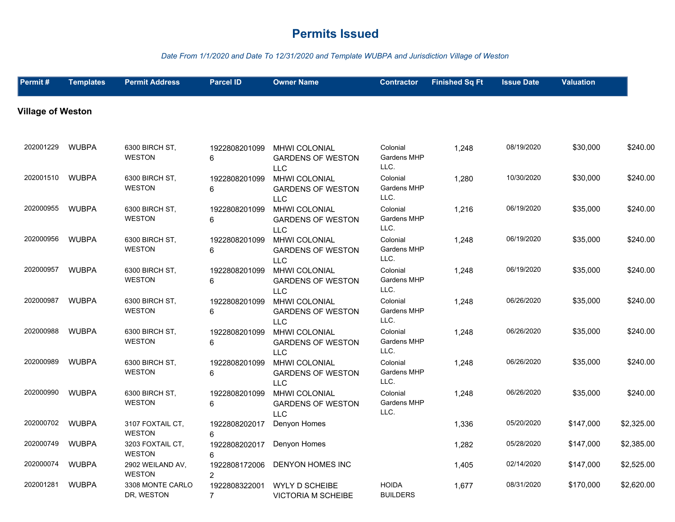#### *Date From 1/1/2020 and Date To 12/31/2020 and Template WUBPA and Jurisdiction Village of Weston*

| Permit#                  | <b>Templates</b> | <b>Permit Address</b>             | <b>Parcel ID</b>                | <b>Owner Name</b>                                              | <b>Contractor</b>                      | <b>Finished Sq Ft</b> | <b>Issue Date</b> | <b>Valuation</b> |            |
|--------------------------|------------------|-----------------------------------|---------------------------------|----------------------------------------------------------------|----------------------------------------|-----------------------|-------------------|------------------|------------|
| <b>Village of Weston</b> |                  |                                   |                                 |                                                                |                                        |                       |                   |                  |            |
| 202001229                | <b>WUBPA</b>     | 6300 BIRCH ST,<br><b>WESTON</b>   | 1922808201099<br>6              | <b>MHWI COLONIAL</b><br><b>GARDENS OF WESTON</b><br><b>LLC</b> | Colonial<br>Gardens MHP<br>LLC.        | 1,248                 | 08/19/2020        | \$30,000         | \$240.00   |
| 202001510                | <b>WUBPA</b>     | 6300 BIRCH ST,<br><b>WESTON</b>   | 1922808201099<br>6              | MHWI COLONIAL<br><b>GARDENS OF WESTON</b><br><b>LLC</b>        | Colonial<br>Gardens MHP<br>LLC.        | 1,280                 | 10/30/2020        | \$30,000         | \$240.00   |
| 202000955                | <b>WUBPA</b>     | 6300 BIRCH ST,<br><b>WESTON</b>   | 1922808201099<br>6              | MHWI COLONIAL<br><b>GARDENS OF WESTON</b><br><b>LLC</b>        | Colonial<br><b>Gardens MHP</b><br>LLC. | 1,216                 | 06/19/2020        | \$35,000         | \$240.00   |
| 202000956                | <b>WUBPA</b>     | 6300 BIRCH ST,<br><b>WESTON</b>   | 1922808201099<br>6              | MHWI COLONIAL<br><b>GARDENS OF WESTON</b><br><b>LLC</b>        | Colonial<br>Gardens MHP<br>LLC.        | 1,248                 | 06/19/2020        | \$35,000         | \$240.00   |
| 202000957                | <b>WUBPA</b>     | 6300 BIRCH ST.<br><b>WESTON</b>   | 1922808201099<br>6              | MHWI COLONIAL<br><b>GARDENS OF WESTON</b><br><b>LLC</b>        | Colonial<br>Gardens MHP<br>LLC.        | 1,248                 | 06/19/2020        | \$35,000         | \$240.00   |
| 202000987                | <b>WUBPA</b>     | 6300 BIRCH ST,<br><b>WESTON</b>   | 1922808201099<br>6              | MHWI COLONIAL<br><b>GARDENS OF WESTON</b><br><b>LLC</b>        | Colonial<br>Gardens MHP<br>LLC.        | 1,248                 | 06/26/2020        | \$35,000         | \$240.00   |
| 202000988                | <b>WUBPA</b>     | 6300 BIRCH ST,<br><b>WESTON</b>   | 1922808201099<br>6              | <b>MHWI COLONIAL</b><br><b>GARDENS OF WESTON</b><br><b>LLC</b> | Colonial<br>Gardens MHP<br>LLC.        | 1,248                 | 06/26/2020        | \$35,000         | \$240.00   |
| 202000989                | <b>WUBPA</b>     | 6300 BIRCH ST,<br><b>WESTON</b>   | 1922808201099<br>6              | MHWI COLONIAL<br><b>GARDENS OF WESTON</b><br><b>LLC</b>        | Colonial<br>Gardens MHP<br>LLC.        | 1,248                 | 06/26/2020        | \$35,000         | \$240.00   |
| 202000990                | <b>WUBPA</b>     | 6300 BIRCH ST,<br><b>WESTON</b>   | 1922808201099<br>6              | MHWI COLONIAL<br><b>GARDENS OF WESTON</b><br><b>LLC</b>        | Colonial<br>Gardens MHP<br>LLC.        | 1,248                 | 06/26/2020        | \$35,000         | \$240.00   |
| 202000702                | <b>WUBPA</b>     | 3107 FOXTAIL CT,<br><b>WESTON</b> | 1922808202017<br>6              | Denyon Homes                                                   |                                        | 1,336                 | 05/20/2020        | \$147,000        | \$2,325.00 |
| 202000749                | <b>WUBPA</b>     | 3203 FOXTAIL CT,<br><b>WESTON</b> | 1922808202017<br>6              | Denyon Homes                                                   |                                        | 1,282                 | 05/28/2020        | \$147,000        | \$2,385.00 |
| 202000074                | <b>WUBPA</b>     | 2902 WEILAND AV,<br><b>WESTON</b> | 1922808172006<br>$\overline{2}$ | <b>DENYON HOMES INC</b>                                        |                                        | 1,405                 | 02/14/2020        | \$147,000        | \$2,525.00 |
| 202001281                | <b>WUBPA</b>     | 3308 MONTE CARLO<br>DR, WESTON    | 1922808322001<br>$\overline{7}$ | <b>WYLY D SCHEIBE</b><br><b>VICTORIA M SCHEIBE</b>             | <b>HOIDA</b><br><b>BUILDERS</b>        | 1,677                 | 08/31/2020        | \$170,000        | \$2,620.00 |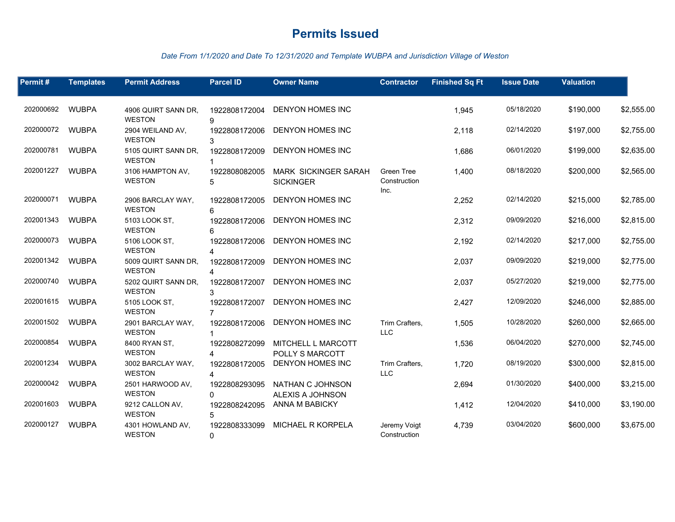#### *Date From 1/1/2020 and Date To 12/31/2020 and Template WUBPA and Jurisdiction Village of Weston*

| Permit#   | <b>Templates</b> | <b>Permit Address</b>                | <b>Parcel ID</b>                | <b>Owner Name</b>                               | <b>Contractor</b>                         | <b>Finished Sq Ft</b> | <b>Issue Date</b> | <b>Valuation</b> |            |
|-----------|------------------|--------------------------------------|---------------------------------|-------------------------------------------------|-------------------------------------------|-----------------------|-------------------|------------------|------------|
| 202000692 | <b>WUBPA</b>     | 4906 QUIRT SANN DR.                  | 1922808172004                   | DENYON HOMES INC                                |                                           | 1,945                 | 05/18/2020        | \$190,000        | \$2,555.00 |
|           |                  | <b>WESTON</b>                        | g                               |                                                 |                                           |                       |                   |                  |            |
| 202000072 | WUBPA            | 2904 WEILAND AV,<br><b>WESTON</b>    | 1922808172006                   | DENYON HOMES INC                                |                                           | 2,118                 | 02/14/2020        | \$197,000        | \$2,755.00 |
| 202000781 | <b>WUBPA</b>     | 5105 QUIRT SANN DR.<br><b>WESTON</b> | 1922808172009                   | DENYON HOMES INC                                |                                           | 1,686                 | 06/01/2020        | \$199,000        | \$2,635.00 |
| 202001227 | <b>WUBPA</b>     | 3106 HAMPTON AV.<br><b>WESTON</b>    | 1922808082005<br>5              | <b>MARK SICKINGER SARAH</b><br><b>SICKINGER</b> | <b>Green Tree</b><br>Construction<br>Inc. | 1,400                 | 08/18/2020        | \$200,000        | \$2,565.00 |
| 202000071 | <b>WUBPA</b>     | 2906 BARCLAY WAY,<br><b>WESTON</b>   | 1922808172005<br>6              | <b>DENYON HOMES INC</b>                         |                                           | 2,252                 | 02/14/2020        | \$215,000        | \$2,785.00 |
| 202001343 | <b>WUBPA</b>     | 5103 LOOK ST,<br><b>WESTON</b>       | 1922808172006<br>6              | <b>DENYON HOMES INC</b>                         |                                           | 2,312                 | 09/09/2020        | \$216,000        | \$2,815.00 |
| 202000073 | <b>WUBPA</b>     | 5106 LOOK ST.<br><b>WESTON</b>       | 1922808172006                   | DENYON HOMES INC                                |                                           | 2,192                 | 02/14/2020        | \$217,000        | \$2,755.00 |
| 202001342 | <b>WUBPA</b>     | 5009 QUIRT SANN DR.<br><b>WESTON</b> | 1922808172009<br>4              | <b>DENYON HOMES INC</b>                         |                                           | 2,037                 | 09/09/2020        | \$219,000        | \$2,775.00 |
| 202000740 | <b>WUBPA</b>     | 5202 QUIRT SANN DR.<br><b>WESTON</b> | 1922808172007<br>$\mathcal{R}$  | DENYON HOMES INC                                |                                           | 2,037                 | 05/27/2020        | \$219,000        | \$2,775.00 |
| 202001615 | <b>WUBPA</b>     | 5105 LOOK ST,<br><b>WESTON</b>       | 1922808172007<br>$\overline{7}$ | DENYON HOMES INC                                |                                           | 2,427                 | 12/09/2020        | \$246,000        | \$2,885.00 |
| 202001502 | <b>WUBPA</b>     | 2901 BARCLAY WAY,<br><b>WESTON</b>   | 1922808172006                   | DENYON HOMES INC                                | Trim Crafters,<br><b>LLC</b>              | 1,505                 | 10/28/2020        | \$260,000        | \$2,665.00 |
| 202000854 | <b>WUBPA</b>     | 8400 RYAN ST,<br><b>WESTON</b>       | 1922808272099                   | MITCHELL L MARCOTT<br>POLLY S MARCOTT           |                                           | 1,536                 | 06/04/2020        | \$270,000        | \$2,745.00 |
| 202001234 | <b>WUBPA</b>     | 3002 BARCLAY WAY,<br><b>WESTON</b>   | 1922808172005                   | DENYON HOMES INC                                | Trim Crafters,<br><b>LLC</b>              | 1,720                 | 08/19/2020        | \$300,000        | \$2,815.00 |
| 202000042 | <b>WUBPA</b>     | 2501 HARWOOD AV,<br><b>WESTON</b>    | 1922808293095<br>$\Omega$       | NATHAN C JOHNSON<br>ALEXIS A JOHNSON            |                                           | 2,694                 | 01/30/2020        | \$400,000        | \$3,215.00 |
| 202001603 | <b>WUBPA</b>     | 9212 CALLON AV,<br><b>WESTON</b>     | 1922808242095<br>5              | ANNA M BABICKY                                  |                                           | 1,412                 | 12/04/2020        | \$410,000        | \$3,190.00 |
| 202000127 | <b>WUBPA</b>     | 4301 HOWLAND AV,<br><b>WESTON</b>    | 1922808333099<br>$\mathbf{0}$   | MICHAEL R KORPELA                               | Jeremy Voigt<br>Construction              | 4,739                 | 03/04/2020        | \$600,000        | \$3,675.00 |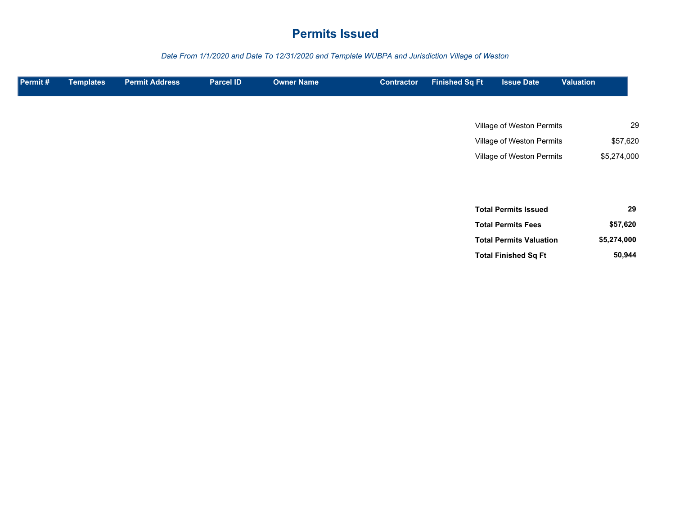*Date From 1/1/2020 and Date To 12/31/2020 and Template WUBPA and Jurisdiction Village of Weston*

| Permit# | <b>Templates</b> | <b>Permit Address</b> | <b>Parcel ID</b> | <b>Owner Name</b> | <b>Contractor</b> | <b>Finished Sq Ft</b> | <b>Issue Date</b>              | <b>Valuation</b> |
|---------|------------------|-----------------------|------------------|-------------------|-------------------|-----------------------|--------------------------------|------------------|
|         |                  |                       |                  |                   |                   |                       |                                |                  |
|         |                  |                       |                  |                   |                   |                       | Village of Weston Permits      | 29               |
|         |                  |                       |                  |                   |                   |                       | Village of Weston Permits      | \$57,620         |
|         |                  |                       |                  |                   |                   |                       | Village of Weston Permits      | \$5,274,000      |
|         |                  |                       |                  |                   |                   |                       |                                |                  |
|         |                  |                       |                  |                   |                   |                       |                                |                  |
|         |                  |                       |                  |                   |                   |                       | <b>Total Permits Issued</b>    | 29               |
|         |                  |                       |                  |                   |                   |                       | <b>Total Permits Fees</b>      | \$57,620         |
|         |                  |                       |                  |                   |                   |                       | <b>Total Permits Valuation</b> | \$5,274,000      |
|         |                  |                       |                  |                   |                   |                       | <b>Total Finished Sq Ft</b>    | 50,944           |